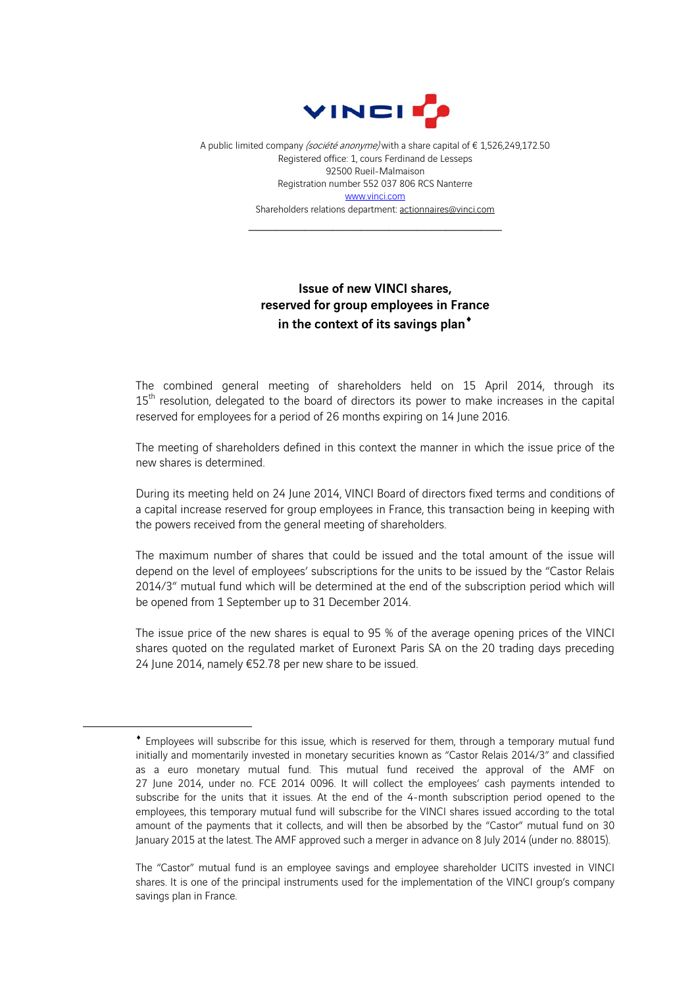

A public limited company (société anonyme) with a share capital of € 1,526,249,172.50 Registered office: 1, cours Ferdinand de Lesseps 92500 Rueil-Malmaison Registration number 552 037 806 RCS Nanterre www.vinci.com Shareholders relations department: actionnaires@vinci.com

\_\_\_\_\_\_\_\_\_\_\_\_\_\_\_\_\_\_\_\_\_\_\_\_\_\_\_\_\_\_\_\_\_\_\_\_

## Issue of new VINCI shares, reserved for group employees in France in the context of its savings plan<sup>\*</sup>

The combined general meeting of shareholders held on 15 April 2014, through its 15<sup>th</sup> resolution, delegated to the board of directors its power to make increases in the capital reserved for employees for a period of 26 months expiring on 14 June 2016.

The meeting of shareholders defined in this context the manner in which the issue price of the new shares is determined.

During its meeting held on 24 June 2014, VINCI Board of directors fixed terms and conditions of a capital increase reserved for group employees in France, this transaction being in keeping with the powers received from the general meeting of shareholders.

The maximum number of shares that could be issued and the total amount of the issue will depend on the level of employees' subscriptions for the units to be issued by the "Castor Relais 2014/3" mutual fund which will be determined at the end of the subscription period which will be opened from 1 September up to 31 December 2014.

The issue price of the new shares is equal to 95 % of the average opening prices of the VINCI shares quoted on the regulated market of Euronext Paris SA on the 20 trading days preceding 24 June 2014, namely €52.78 per new share to be issued.

1

Employees will subscribe for this issue, which is reserved for them, through a temporary mutual fund initially and momentarily invested in monetary securities known as "Castor Relais 2014/3" and classified as a euro monetary mutual fund. This mutual fund received the approval of the AMF on 27 June 2014, under no. FCE 2014 0096. It will collect the employees' cash payments intended to subscribe for the units that it issues. At the end of the 4-month subscription period opened to the employees, this temporary mutual fund will subscribe for the VINCI shares issued according to the total amount of the payments that it collects, and will then be absorbed by the "Castor" mutual fund on 30 January 2015 at the latest. The AMF approved such a merger in advance on 8 July 2014 (under no. 88015).

The "Castor" mutual fund is an employee savings and employee shareholder UCITS invested in VINCI shares. It is one of the principal instruments used for the implementation of the VINCI group's company savings plan in France.